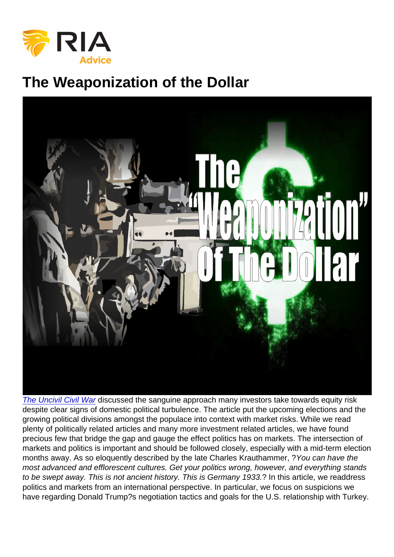# The Weaponization of the Dollar

[The Uncivil Civil War](https://realinvestmentadvice.com/the-uncivil-civil-war-economic-and-market-implications-of-political-transformation/) discussed the sanguine approach many investors take towards equity risk despite clear signs of domestic political turbulence. The article put the upcoming elections and the growing political divisions amongst the populace into context with market risks. While we read plenty of politically related articles and many more investment related articles, we have found precious few that bridge the gap and gauge the effect politics has on markets. The intersection of markets and politics is important and should be followed closely, especially with a mid-term election months away. As so eloquently described by the late Charles Krauthammer, ?You can have the most advanced and efflorescent cultures. Get your politics wrong, however, and everything stands to be swept away. This is not ancient history. This is Germany 1933.? In this article, we readdress politics and markets from an international perspective. In particular, we focus on suspicions we have regarding Donald Trump?s negotiation tactics and goals for the U.S. relationship with Turkey.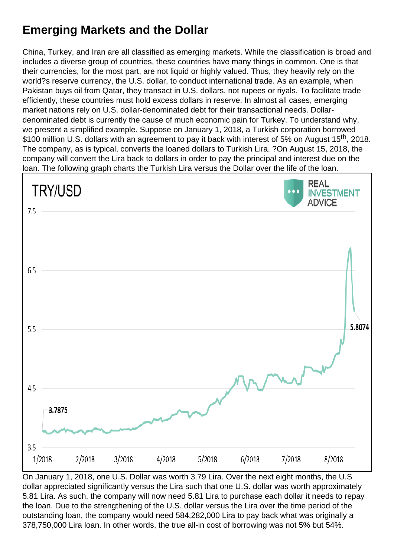## Emerging Markets and the Dollar

China, Turkey, and Iran are all classified as emerging markets. While the classification is broad and includes a diverse group of countries, these countries have many things in common. One is that their currencies, for the most part, are not liquid or highly valued. Thus, they heavily rely on the world?s reserve currency, the U.S. dollar, to conduct international trade. As an example, when Pakistan buys oil from Qatar, they transact in U.S. dollars, not rupees or riyals. To facilitate trade efficiently, these countries must hold excess dollars in reserve. In almost all cases, emerging market nations rely on U.S. dollar-denominated debt for their transactional needs. Dollardenominated debt is currently the cause of much economic pain for Turkey. To understand why, we present a simplified example. Suppose on January 1, 2018, a Turkish corporation borrowed \$100 million U.S. dollars with an agreement to pay it back with interest of 5% on August 15<sup>th</sup>, 2018. The company, as is typical, converts the loaned dollars to Turkish Lira. ?On August 15, 2018, the company will convert the Lira back to dollars in order to pay the principal and interest due on the loan. The following graph charts the Turkish Lira versus the Dollar over the life of the loan.

On January 1, 2018, one U.S. Dollar was worth 3.79 Lira. Over the next eight months, the U.S dollar appreciated significantly versus the Lira such that one U.S. dollar was worth approximately 5.81 Lira. As such, the company will now need 5.81 Lira to purchase each dollar it needs to repay the loan. Due to the strengthening of the U.S. dollar versus the Lira over the time period of the outstanding loan, the company would need 584,282,000 Lira to pay back what was originally a 378,750,000 Lira loan. In other words, the true all-in cost of borrowing was not 5% but 54%.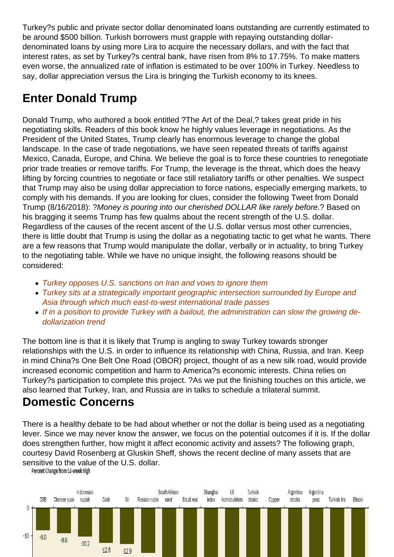Turkey?s public and private sector dollar denominated loans outstanding are currently estimated to be around \$500 billion. Turkish borrowers must grapple with repaying outstanding dollardenominated loans by using more Lira to acquire the necessary dollars, and with the fact that interest rates, as set by Turkey?s central bank, have risen from 8% to 17.75%. To make matters even worse, the annualized rate of inflation is estimated to be over 100% in Turkey. Needless to say, dollar appreciation versus the Lira is bringing the Turkish economy to its knees.

## Enter Donald Trump

Donald Trump, who authored a book entitled ?The Art of the Deal,? takes great pride in his negotiating skills. Readers of this book know he highly values leverage in negotiations. As the President of the United States, Trump clearly has enormous leverage to change the global landscape. In the case of trade negotiations, we have seen repeated threats of tariffs against Mexico, Canada, Europe, and China. We believe the goal is to force these countries to renegotiate prior trade treaties or remove tariffs. For Trump, the leverage is the threat, which does the heavy lifting by forcing countries to negotiate or face still retaliatory tariffs or other penalties. We suspect that Trump may also be using dollar appreciation to force nations, especially emerging markets, to comply with his demands. If you are looking for clues, consider the following Tweet from Donald Trump (8/16/2018): ?Money is pouring into our cherished DOLLAR like rarely before.? Based on his bragging it seems Trump has few qualms about the recent strength of the U.S. dollar. Regardless of the causes of the recent ascent of the U.S. dollar versus most other currencies, there is little doubt that Trump is using the dollar as a negotiating tactic to get what he wants. There are a few reasons that Trump would manipulate the dollar, verbally or in actuality, to bring Turkey to the negotiating table. While we have no unique insight, the following reasons should be considered:

- Turkey opposes U.S. sanctions on Iran and vows to ignore them
- Turkey sits at a strategically important geographic intersection surrounded by Europe and Asia through which much east-to-west international trade passes
- If in a position to provide Turkey with a bailout, the administration can slow the growing dedollarization trend

The bottom line is that it is likely that Trump is angling to sway Turkey towards stronger relationships with the U.S. in order to influence its relationship with China, Russia, and Iran. Keep in mind China?s One Belt One Road (OBOR) project, thought of as a new silk road, would provide increased economic competition and harm to America?s economic interests. China relies on Turkey?s participation to complete this project. ?As we put the finishing touches on this article, we also learned that Turkey, Iran, and Russia are in talks to schedule a trilateral summit.

#### Domestic Concerns

There is a healthy debate to be had about whether or not the dollar is being used as a negotiating lever. Since we may never know the answer, we focus on the potential outcomes if it is. If the dollar does strengthen further, how might it affect economic activity and assets? The following graph, courtesy David Rosenberg at Gluskin Sheff, shows the recent decline of many assets that are sensitive to the value of the U.S. dollar.